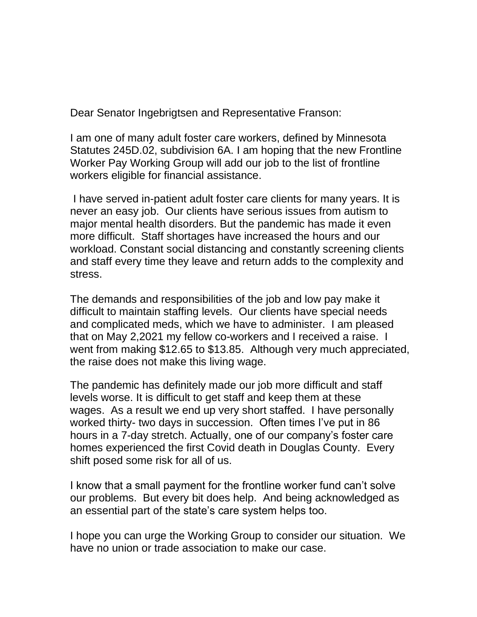Dear Senator Ingebrigtsen and Representative Franson:

I am one of many adult foster care workers, defined by Minnesota Statutes 245D.02, subdivision 6A. I am hoping that the new Frontline Worker Pay Working Group will add our job to the list of frontline workers eligible for financial assistance.

 I have served in-patient adult foster care clients for many years. It is never an easy job. Our clients have serious issues from autism to major mental health disorders. But the pandemic has made it even more difficult. Staff shortages have increased the hours and our workload. Constant social distancing and constantly screening clients and staff every time they leave and return adds to the complexity and stress.

The demands and responsibilities of the job and low pay make it difficult to maintain staffing levels. Our clients have special needs and complicated meds, which we have to administer. I am pleased that on May 2,2021 my fellow co-workers and I received a raise. I went from making \$12.65 to \$13.85. Although very much appreciated, the raise does not make this living wage.

The pandemic has definitely made our job more difficult and staff levels worse. It is difficult to get staff and keep them at these wages. As a result we end up very short staffed. I have personally worked thirty- two days in succession. Often times I've put in 86 hours in a 7-day stretch. Actually, one of our company's foster care homes experienced the first Covid death in Douglas County. Every shift posed some risk for all of us.

I know that a small payment for the frontline worker fund can't solve our problems. But every bit does help. And being acknowledged as an essential part of the state's care system helps too.

I hope you can urge the Working Group to consider our situation. We have no union or trade association to make our case.